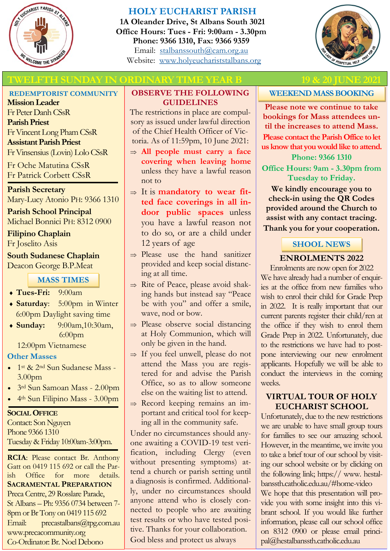

## **HOLY EUCHARIST PARISH**

**1A Oleander Drive, St Albans South 3021 Office Hours: Tues - Fri: 9:00am - 3.30pm Phone: 9366 1310, Fax: 9366 9359** Email: [stalbanssouth@cam.org.au](mailto:stalbanssouth@cam.org.au) Website:[www.holyeuchariststalbans.org](http://www.holyeuchariststalbans.org)



## **TWELFTH SUNDAY IN ORDINARY TIME YEAR B 19 & 20 JUNE 2**

#### **REDEMPTORIST COMMUNITY**

**Mission Leader** Fr Peter Danh CSsR **Parish Priest** Fr Vincent Long Pham CSsR **Assistant Parish Priest**  Fr Vinsensius (Lovin) Lolo CSsR

Fr Oche Matutina CSsR Fr Patrick Corbett CSsR

**Parish Secretary** Mary-Lucy Atonio PH: 9366 1310

**Parish School Principal** Michael Bonnici PH: 8312 0900

#### **Filipino Chaplain** Fr Joselito Asis

**South Sudanese Chaplain** Deacon George B.P.Meat

### **MASS TIMES**

- **Tues-Fri:** 9:00am
- **Saturday**: 5:00pm in Winter 6:00pm Daylight saving time
- **Sunday:** 9:00am,10:30am, 6:00pm

12:00pm Vietnamese

### **Other Masses**

- 1st & 2nd Sun Sudanese Mass 3.00pm
- 3rd Sun Samoan Mass 2.00pm
- 4th Sun Filipino Mass 3.00pm

#### **SOCIAL OFFICE**

Contact: Son Nguyen Phone 9366 1310 Tuesday & Friday 10:00am-3:00pm.

**RCIA**: Please contact Br. Anthony Gatt on 0419 115 692 or call the Parish Office for more details. **SACRAMENTAL PREPARATION** Preca Centre, 29 Rosslare Parade, St Albans – Ph: 9356 0734 between 7- 8pm or Br Tony on 0419 115 692 Email: precastalbans@tpg.com.au www.precacommunity.org Co-Ordinator: Br. Noel Debono

#### **OBSERVE THE FOLLOWING GUIDELINES**

The restrictions in place are compulsory as issued under lawful direction of the Chief Health Officer of Victoria. As of 11:59pm, 10 June 2021:

- **All people must carry a face covering when leaving home**  unless they have a lawful reason not to
- $\Rightarrow$  It is **mandatory to wear fitted face coverings in all indoor public spaces** unless you have a lawful reason not to do so, or are a child under 12 years of age
- $\Rightarrow$  Please use the hand sanitizer provided and keep social distancing at all time.
- $\Rightarrow$  Rite of Peace, please avoid shaking hands but instead say "Peace be with you" and offer a smile, wave, nod or bow.
- $\Rightarrow$  Please observe social distancing at Holy Communion, which will only be given in the hand.
- $\Rightarrow$  If you feel unwell, please do not attend the Mass you are registered for and advise the Parish Office, so as to allow someone else on the waiting list to attend.
- $\Rightarrow$  Record keeping remains an important and critical tool for keeping all in the community safe.

Under no circumstances should anyone awaiting a COVID-19 test verification, including Clergy (even without presenting symptoms) attend a church or parish setting until a diagnosis is confirmed. Additionally, under no circumstances should anyone attend who is closely connected to people who are awaiting test results or who have tested positive. Thanks for your collaboration. God bless and protect us always

# **WEEKEND MASS BOOKING**

**Please note we continue to take bookings for Mass attendees until the increases to attend Mass.**

**Please contact the Parish Office to let us know that you would like to attend.**

**Phone: 9366 1310**

**Office Hours: 9am - 3.30pm from Tuesday to Friday.**

**We kindly encourage you to check-in using the QR Codes provided around the Church to assist with any contact tracing. Thank you for your cooperation.**

## **SHOOL NEWS**

#### **ENROLMENTS 2022**

Enrolments are now open for 2022 We have already had a number of enquiries at the office from new families who wish to enrol their child for Grade Prep in 2022. It is really important that our current parents register their child/ren at the office if they wish to enrol them Grade Prep in 2022. Unfortunately, due to the restrictions we have had to postpone interviewing our new enrolment applicants. Hopefully we will be able to conduct the interviews in the coming weeks.

#### **VIRTUAL TOUR OF HOLY EUCHARIST SCHOOL**

Unfortunately, due to the new restrictions we are unable to have small group tours for families to see our amazing school. However, in the meantime, we invite you to take a brief tour of our school by visiting our school website or by clicking on the following link; https:// www. hestalbanssth.catholic.edu.au/#home-video We hope that this presentation will provide you with some insight into this vibrant school. If you would like further information, please call our school office on 8312 0900 or please email principal@hestalbanssth.catholic.edu.au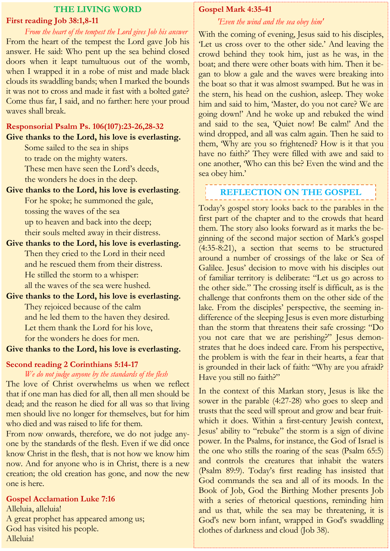#### **THE LIVING WORD First reading Job 38:1,8-11**

*From the heart of the tempest the Lord gives Job his answer*  From the heart of the tempest the Lord gave Job his answer. He said: Who pent up the sea behind closed doors when it leapt tumultuous out of the womb, when I wrapped it in a robe of mist and made black clouds its swaddling bands; when I marked the bounds it was not to cross and made it fast with a bolted gate? Come thus far, I said, and no farther: here your proud waves shall break.

## **Responsorial Psalm Ps. 106(107):23-26,28-32 Give thanks to the Lord, his love is everlasting.**

Some sailed to the sea in ships to trade on the mighty waters. These men have seen the Lord's deeds,

the wonders he does in the deep.

- **Give thanks to the Lord, his love is everlasting**. For he spoke; he summoned the gale, tossing the waves of the sea up to heaven and back into the deep; their souls melted away in their distress.
- **Give thanks to the Lord, his love is everlasting.** Then they cried to the Lord in their need and he rescued them from their distress. He stilled the storm to a whisper: all the waves of the sea were hushed.
- **Give thanks to the Lord, his love is everlasting.** They rejoiced because of the calm and he led them to the haven they desired. Let them thank the Lord for his love, for the wonders he does for men.

## **Give thanks to the Lord, his love is everlasting.**

## **Second reading 2 Corinthians 5:14-17**

#### *We do not judge anyone by the standards of the flesh*

The love of Christ overwhelms us when we reflect that if one man has died for all, then all men should be dead; and the reason he died for all was so that living men should live no longer for themselves, but for him who died and was raised to life for them.

From now onwards, therefore, we do not judge anyone by the standards of the flesh. Even if we did once know Christ in the flesh, that is not how we know him now. And for anyone who is in Christ, there is a new creation; the old creation has gone, and now the new one is here.

# **Gospel Acclamation Luke 7:16**

Alleluia, alleluia! A great prophet has appeared among us; God has visited his people. Alleluia!

# **Gospel Mark 4:35-41**

## *'Even the wind and the sea obey him'*

With the coming of evening, Jesus said to his disciples, 'Let us cross over to the other side.' And leaving the crowd behind they took him, just as he was, in the boat; and there were other boats with him. Then it began to blow a gale and the waves were breaking into the boat so that it was almost swamped. But he was in the stern, his head on the cushion, asleep. They woke him and said to him, 'Master, do you not care? We are going down!' And he woke up and rebuked the wind and said to the sea, 'Quiet now! Be calm!' And the wind dropped, and all was calm again. Then he said to them, 'Why are you so frightened? How is it that you have no faith?' They were filled with awe and said to one another, 'Who can this be? Even the wind and the sea obey him.'

#### ------------------------------**REFLECTION ON THE GOSPEL**

Today's gospel story looks back to the parables in the first part of the chapter and to the crowds that heard them. The story also looks forward as it marks the beginning of the second major section of Mark's gospel (4:35-8:21), a section that seems to be structured around a number of crossings of the lake or Sea of Galilee. Jesus' decision to move with his disciples out of familiar territory is deliberate: "Let us go across to the other side." The crossing itself is difficult, as is the challenge that confronts them on the other side of the lake. From the disciples' perspective, the seeming indifference of the sleeping Jesus is even more disturbing than the storm that threatens their safe crossing: "Do you not care that we are perishing?" Jesus demonstrates that he does indeed care. From his perspective, the problem is with the fear in their hearts, a fear that is grounded in their lack of faith: "Why are you afraid? Have you still no faith?"

In the context of this Markan story, Jesus is like the sower in the parable (4:27-28) who goes to sleep and trusts that the seed will sprout and grow and bear fruitwhich it does. Within a first-century Jewish context, Jesus' ability to "rebuke" the storm is a sign of divine power. In the Psalms, for instance, the God of Israel is the one who stills the roaring of the seas (Psalm 65:5) and controls the creatures that inhabit the waters (Psalm 89:9). Today's first reading has insisted that God commands the sea and all of its moods. In the Book of Job, God the Birthing Mother presents Job with a series of rhetorical questions, reminding him and us that, while the sea may be threatening, it is God's new born infant, wrapped in God's swaddling clothes of darkness and cloud (Job 38).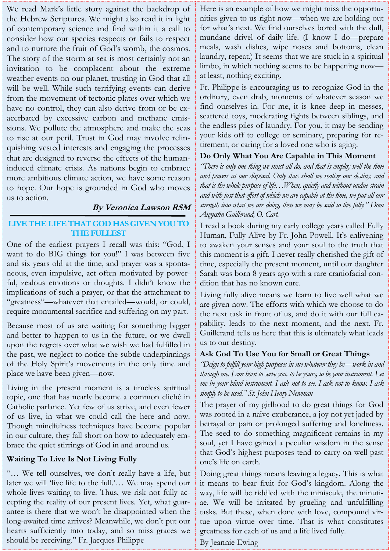We read Mark's little story against the backdrop of the Hebrew Scriptures. We might also read it in light of contemporary science and find within it a call to consider how our species respects or fails to respect and to nurture the fruit of God's womb, the cosmos. The story of the storm at sea is most certainly not an invitation to be complacent about the extreme weather events on our planet, trusting in God that all will be well. While such terrifying events can derive from the movement of tectonic plates over which we have no control, they can also derive from or be exacerbated by excessive carbon and methane emissions. We pollute the atmosphere and make the seas to rise at our peril. Trust in God may involve relinquishing vested interests and engaging the processes that are designed to reverse the effects of the humaninduced climate crisis. As nations begin to embrace more ambitious climate action, we have some reason to hope. Our hope is grounded in God who moves us to action.

## **By Veronica Lawson RSM**

#### **LIVE THE LIFE THAT GOD HAS GIVEN YOU TO THE FULLEST**

One of the earliest prayers I recall was this: "God, I want to do BIG things for you!" I was between five and six years old at the time, and prayer was a spontaneous, even impulsive, act often motivated by powerful, zealous emotions or thoughts. I didn't know the implications of such a prayer, or that the attachment to "greatness"—whatever that entailed—would, or could, require monumental sacrifice and suffering on my part.

Because most of us are waiting for something bigger and better to happen to us in the future, or we dwell upon the regrets over what we wish we had fulfilled in the past, we neglect to notice the subtle underpinnings of the Holy Spirit's movements in the only time and place we have been given—now.

Living in the present moment is a timeless spiritual topic, one that has nearly become a common cliché in Catholic parlance. Yet few of us strive, and even fewer of us live, in what we could call the here and now. Though mindfulness techniques have become popular in our culture, they fall short on how to adequately embrace the quiet stirrings of God in and around us.

### **Waiting To Live Is Not Living Fully**

"… We tell ourselves, we don't really have a life, but later we will 'live life to the full.'… We may spend our whole lives waiting to live. Thus, we risk not fully accepting the reality of our present lives. Yet, what guarantee is there that we won't be disappointed when the long-awaited time arrives? Meanwhile, we don't put our hearts sufficiently into today, and so miss graces we should be receiving." Fr. Jacques Philippe

Here is an example of how we might miss the opportunities given to us right now—when we are holding out for what's next. We find ourselves bored with the dull, mundane drivel of daily life. (I know I do—prepare meals, wash dishes, wipe noses and bottoms, clean laundry, repeat.) It seems that we are stuck in a spiritual limbo, in which nothing seems to be happening now at least, nothing exciting.

Fr. Philippe is encouraging us to recognize God in the ordinary, even drab, moments of whatever season we find ourselves in. For me, it is knee deep in messes, scattered toys, moderating fights between siblings, and the endless piles of laundry. For you, it may be sending your kids off to college or seminary, preparing for retirement, or caring for a loved one who is aging.

### **Do Only What You Are Capable in This Moment**

*"There is only one thing we must all do, and that is employ well the time and powers at our disposal. Only thus shall we realize our destiny, and that is the whole purpose of life…When, quietly and without undue strain and with just that effort of which we are capable at the time, we put all our strength into what we are doing, then we may be said to live fully." Dom Augustin Guillerand, O. Cart.*

I read a book during my early college years called Fully Human, Fully Alive by Fr. John Powell. It's enlivening to awaken your senses and your soul to the truth that this moment is a gift. I never really cherished the gift of time, especially the present moment, until our daughter Sarah was born 8 years ago with a rare craniofacial condition that has no known cure.

Living fully alive means we learn to live well what we are given now. The efforts with which we choose to do the next task in front of us, and do it with our full capability, leads to the next moment, and the next. Fr. Guillerand tells us here that this is ultimately what leads us to our destiny.

#### **Ask God To Use You for Small or Great Things**

*"Deign to fulfill your high purposes in me whatever they be—work in and through me. I am born to serve you, to be yours, to be your instrument. Let me be your blind instrument. I ask not to see. I ask not to know. I ask simply to be used." St. John Henry Newman*

The prayer of my girlhood to do great things for God was rooted in a naïve exuberance, a joy not yet jaded by betrayal or pain or prolonged suffering and loneliness. The seed to do something magnificent remains in my soul, yet I have gained a peculiar wisdom in the sense that God's highest purposes tend to carry on well past one's life on earth.

Doing great things means leaving a legacy. This is what it means to bear fruit for God's kingdom. Along the way, life will be riddled with the miniscule, the minutiae. We will be irritated by grueling and unfulfilling tasks. But these, when done with love, compound virtue upon virtue over time. That is what constitutes greatness for each of us and a life lived fully.

#### By Jeannie Ewing